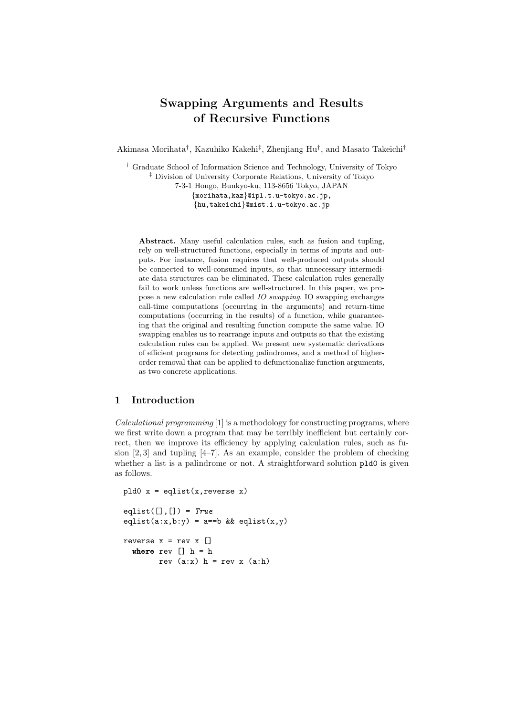# Swapping Arguments and Results of Recursive Functions

Akimasa Morihata† , Kazuhiko Kakehi‡ , Zhenjiang Hu† , and Masato Takeichi†

† Graduate School of Information Science and Technology, University of Tokyo ‡ Division of University Corporate Relations, University of Tokyo 7-3-1 Hongo, Bunkyo-ku, 113-8656 Tokyo, JAPAN {morihata,kaz}@ipl.t.u-tokyo.ac.jp, {hu,takeichi}@mist.i.u-tokyo.ac.jp

Abstract. Many useful calculation rules, such as fusion and tupling, rely on well-structured functions, especially in terms of inputs and outputs. For instance, fusion requires that well-produced outputs should be connected to well-consumed inputs, so that unnecessary intermediate data structures can be eliminated. These calculation rules generally fail to work unless functions are well-structured. In this paper, we propose a new calculation rule called IO swapping. IO swapping exchanges call-time computations (occurring in the arguments) and return-time computations (occurring in the results) of a function, while guaranteeing that the original and resulting function compute the same value. IO swapping enables us to rearrange inputs and outputs so that the existing calculation rules can be applied. We present new systematic derivations of efficient programs for detecting palindromes, and a method of higherorder removal that can be applied to defunctionalize function arguments, as two concrete applications.

# 1 Introduction

Calculational programming [1] is a methodology for constructing programs, where we first write down a program that may be terribly inefficient but certainly correct, then we improve its efficiency by applying calculation rules, such as fusion  $[2, 3]$  and tupling  $[4-7]$ . As an example, consider the problem of checking whether a list is a palindrome or not. A straightforward solution pld0 is given as follows.

```
pld0 x = eqlist(x, reverse x)
eqlist([],[]) = True
eqlist(a:x,b:y) = a==b && eqlist(x,y)
reverse x = rev x []
 where rev \lceil h = hrev (a:x) h = rev x (a:h)
```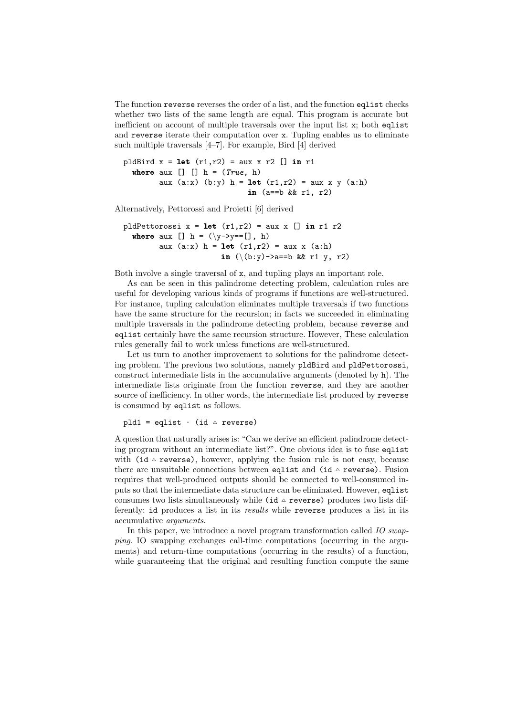The function reverse reverses the order of a list, and the function eqlist checks whether two lists of the same length are equal. This program is accurate but inefficient on account of multiple traversals over the input list x; both eqlist and reverse iterate their computation over x. Tupling enables us to eliminate such multiple traversals [4–7]. For example, Bird [4] derived

```
pldBird x = \text{let } (r1, r2) = \text{aux } x r2 [] in r1
  where aux [] [] h = (True, h)aux (a:x) (b:y) h = let (r1,r2) = aux x y (a:h)in (a == b \& k \r1, r2)
```
Alternatively, Pettorossi and Proietti [6] derived

```
pldPettorossi x = \text{let } (r1, r2) = \text{aux } x [] in r1 r2
  where aux [] h = (\y->y==[], h)aux (a:x) h = let (r1, r2) = aux x (a:h)in (\b\csc(6:y)->a==b && r1 y, r2)
```
Both involve a single traversal of x, and tupling plays an important role.

As can be seen in this palindrome detecting problem, calculation rules are useful for developing various kinds of programs if functions are well-structured. For instance, tupling calculation eliminates multiple traversals if two functions have the same structure for the recursion; in facts we succeeded in eliminating multiple traversals in the palindrome detecting problem, because reverse and eqlist certainly have the same recursion structure. However, These calculation rules generally fail to work unless functions are well-structured.

Let us turn to another improvement to solutions for the palindrome detecting problem. The previous two solutions, namely pldBird and pldPettorossi, construct intermediate lists in the accumulative arguments (denoted by h). The intermediate lists originate from the function reverse, and they are another source of inefficiency. In other words, the intermediate list produced by reverse is consumed by eqlist as follows.

```
pld1 = eqlist \cdot (id \triangle reverse)
```
A question that naturally arises is: "Can we derive an efficient palindrome detecting program without an intermediate list?". One obvious idea is to fuse eqlist with (id  $\triangle$  reverse), however, applying the fusion rule is not easy, because there are unsuitable connections between eqlist and (id  $\triangle$  reverse). Fusion requires that well-produced outputs should be connected to well-consumed inputs so that the intermediate data structure can be eliminated. However, eqlist consumes two lists simultaneously while (id  $\triangle$  reverse) produces two lists differently: id produces a list in its results while reverse produces a list in its accumulative arguments.

In this paper, we introduce a novel program transformation called IO swapping. IO swapping exchanges call-time computations (occurring in the arguments) and return-time computations (occurring in the results) of a function, while guaranteeing that the original and resulting function compute the same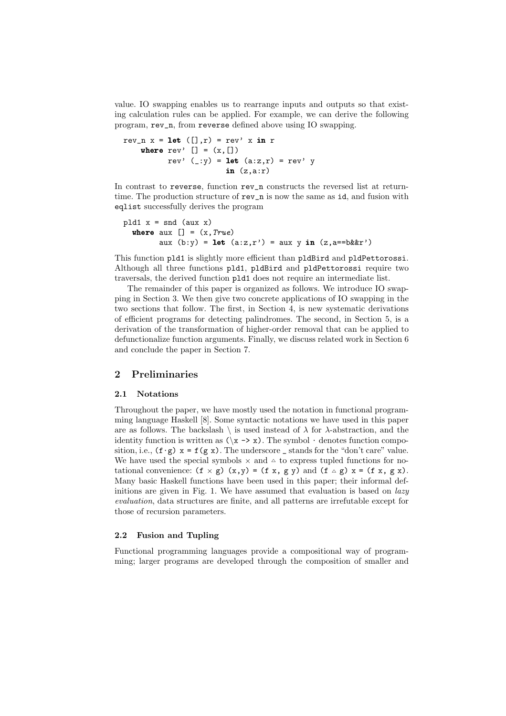value. IO swapping enables us to rearrange inputs and outputs so that existing calculation rules can be applied. For example, we can derive the following program, rev\_n, from reverse defined above using IO swapping.

```
rev_n x = let ([],r) = rev' x in r
     where rev' [] = (x, [])rev' (\underline{.}:y) = \text{let } (a:z,r) = \text{rev}' y
                             in (z, a:r)
```
In contrast to reverse, function rev\_n constructs the reversed list at returntime. The production structure of  $rev\_n$  is now the same as id, and fusion with eqlist successfully derives the program

```
pld1 x = snd (aux x)
  where aux [] = (x, True)aux (b:y) = \text{let } (a:z,r') = aux y \text{ in } (z,a == b\&x')
```
This function pld1 is slightly more efficient than pldBird and pldPettorossi. Although all three functions pld1, pldBird and pldPettorossi require two traversals, the derived function pld1 does not require an intermediate list.

The remainder of this paper is organized as follows. We introduce IO swapping in Section 3. We then give two concrete applications of IO swapping in the two sections that follow. The first, in Section 4, is new systematic derivations of efficient programs for detecting palindromes. The second, in Section 5, is a derivation of the transformation of higher-order removal that can be applied to defunctionalize function arguments. Finally, we discuss related work in Section 6 and conclude the paper in Section 7.

# 2 Preliminaries

#### 2.1 Notations

Throughout the paper, we have mostly used the notation in functional programming language Haskell [8]. Some syntactic notations we have used in this paper are as follows. The backslash  $\setminus$  is used instead of  $\lambda$  for  $\lambda$ -abstraction, and the identity function is written as  $(\x \rightarrow x)$ . The symbol  $\cdot$  denotes function composition, i.e.,  $(f \cdot g)$  x =  $f(g x)$ . The underscore \_ stands for the "don't care" value. We have used the special symbols  $\times$  and  $\vartriangle$  to express tupled functions for notational convenience:  $(f \times g)$   $(x,y) = (f x, g y)$  and  $(f \triangle g) x = (f x, g x)$ . Many basic Haskell functions have been used in this paper; their informal definitions are given in Fig. 1. We have assumed that evaluation is based on  $lazy$ evaluation, data structures are finite, and all patterns are irrefutable except for those of recursion parameters.

#### 2.2 Fusion and Tupling

Functional programming languages provide a compositional way of programming; larger programs are developed through the composition of smaller and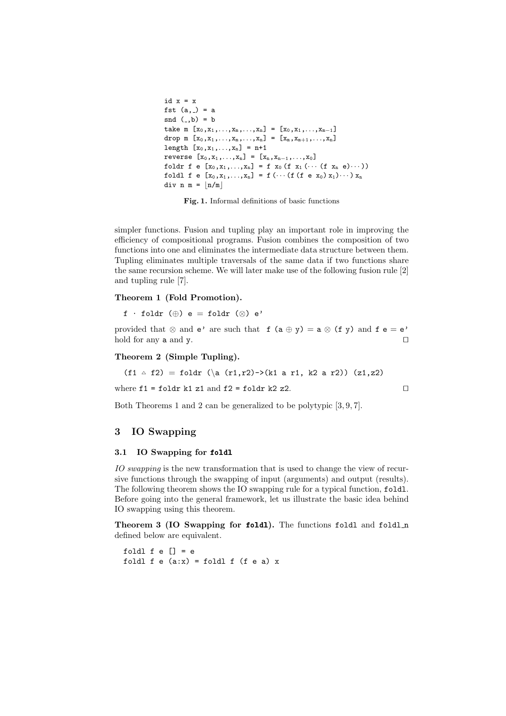```
id x = xfst (a, ) = asnd (, b) = b
take m [x_0, x_1, \ldots, x_m, \ldots, x_n] = [x_0, x_1, \ldots, x_{m-1}]drop m [x_0, x_1, \ldots, x_m, \ldots, x_n] = [x_m, x_{m+1}, \ldots, x_n]length [x_0, x_1, ..., x_n] = n+1reverse [x_0, x_1, \ldots, x_n] = [x_n, x_{n-1}, \ldots, x_0]foldr f e [x_0, x_1, ..., x_n] = f x_0 (f x_1 (… (f x_n e)…))foldl f e [x_0, x_1, ..., x_n] = f( \cdots (f (f e x_0) x_1) \cdots) x_ndiv n m = |n/m|
```
Fig. 1. Informal definitions of basic functions

simpler functions. Fusion and tupling play an important role in improving the efficiency of compositional programs. Fusion combines the composition of two functions into one and eliminates the intermediate data structure between them. Tupling eliminates multiple traversals of the same data if two functions share the same recursion scheme. We will later make use of the following fusion rule [2] and tupling rule [7].

#### Theorem 1 (Fold Promotion).

f · foldr  $(\oplus)$  e = foldr  $(\otimes)$  e'

provided that  $\otimes$  and e' are such that f (a  $\oplus$  y) = a  $\otimes$  (f y) and f e = e' hold for any  $a$  and  $y$ .

#### Theorem 2 (Simple Tupling).

```
(f1 4 f2) = foldr (\a (r1,r2)−>(k1 a r1, k2 a r2)) (z1,z2)
```

```
where f1 = f0 \, \text{d}r k1 z1 and f2 = f0 \, \text{d}r k2 z2.
```
Both Theorems 1 and 2 can be generalized to be polytypic [3, 9, 7].

# 3 IO Swapping

#### 3.1 IO Swapping for foldl

IO swapping is the new transformation that is used to change the view of recursive functions through the swapping of input (arguments) and output (results). The following theorem shows the IO swapping rule for a typical function, foldl. Before going into the general framework, let us illustrate the basic idea behind IO swapping using this theorem.

Theorem 3 (IO Swapping for foldl). The functions foldl and foldl n defined below are equivalent.

foldl  $f \in [] = e$ foldl f e  $(a:x)$  = foldl f  $(f e a) x$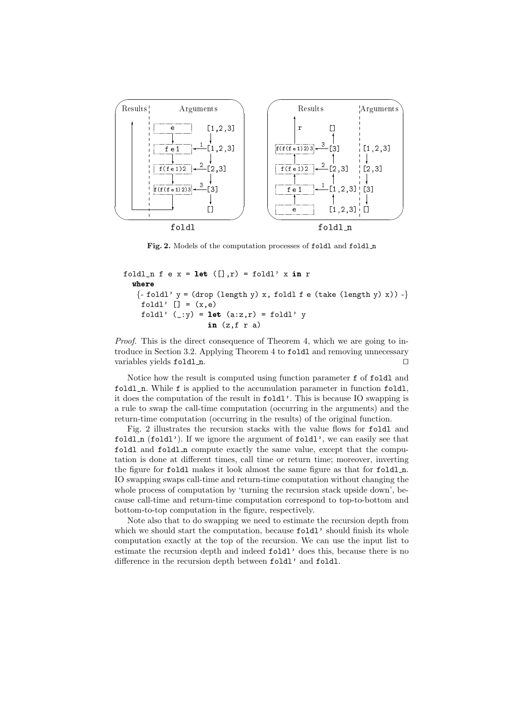

Fig. 2. Models of the computation processes of foldl and foldl\_n

```
foldl_n f e x = \text{let } ([], r) = \text{fold}' x in r
  where
   \{- foldl' y = (drop (length y) x, foldl f e (take (length y) x)) -\}foldl' [] = (x,e)foldl' (\_:y) = \text{let } (a:z,r) = \text{foldl'} yin (z, f r a)
```
Proof. This is the direct consequence of Theorem 4, which we are going to introduce in Section 3.2. Applying Theorem 4 to foldl and removing unnecessary variables yields  $\text{fold}$  n.  $\Box$ 

Notice how the result is computed using function parameter f of foldl and foldl\_n. While f is applied to the accumulation parameter in function foldl, it does the computation of the result in foldl'. This is because IO swapping is a rule to swap the call-time computation (occurring in the arguments) and the return-time computation (occurring in the results) of the original function.

Fig. 2 illustrates the recursion stacks with the value flows for foldl and foldl  $n$  (foldl'). If we ignore the argument of foldl', we can easily see that foldl and foldl n compute exactly the same value, except that the computation is done at different times, call time or return time; moreover, inverting the figure for foldl makes it look almost the same figure as that for foldl<sub>n</sub>. IO swapping swaps call-time and return-time computation without changing the whole process of computation by 'turning the recursion stack upside down', because call-time and return-time computation correspond to top-to-bottom and bottom-to-top computation in the figure, respectively.

Note also that to do swapping we need to estimate the recursion depth from which we should start the computation, because  $fold1'$  should finish its whole computation exactly at the top of the recursion. We can use the input list to estimate the recursion depth and indeed foldl' does this, because there is no difference in the recursion depth between foldl' and foldl.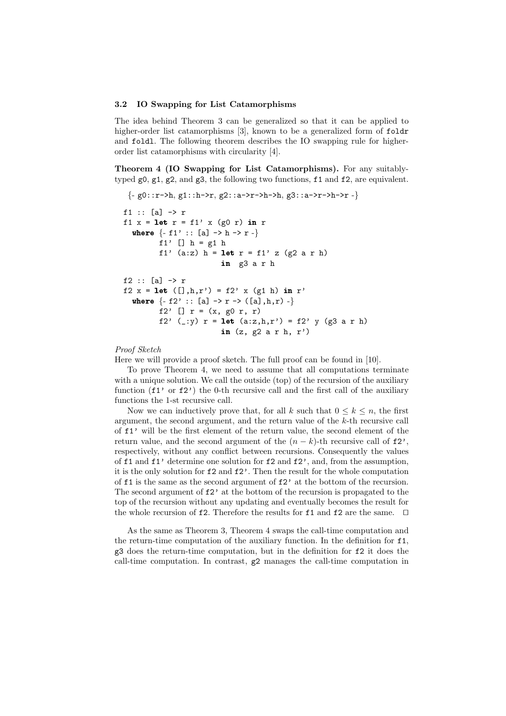#### 3.2 IO Swapping for List Catamorphisms

The idea behind Theorem 3 can be generalized so that it can be applied to higher-order list catamorphisms [3], known to be a generalized form of foldr and foldl. The following theorem describes the IO swapping rule for higherorder list catamorphisms with circularity [4].

Theorem 4 (IO Swapping for List Catamorphisms). For any suitablytyped g0, g1, g2, and g3, the following two functions, f1 and f2, are equivalent.

```
{- g0::r−>h, g1::h−>r, g2::a−>r−>h−>h, g3::a−>r−>h−>r -}
f1 :: [a] −> r
f1 x = let r = f1' x (g0 r) in rwhere \{-f1' :: [a] \rightarrow h \rightarrow r -\}f1' [] h = g1 h
         f1' (a:z) h = let r = f1' z (g2 a r h)
                         in g3 a r h
f2 :: [a] −> r
f2 x = let ([], h, r') = f2' x (g1 h) in r'where \{-f2' :: [a] \rightarrow r \rightarrow ([a], h, r) -\}f2' [] r = (x, g0 r, r)f2' (_:y) r = \text{let } (a:z,h,r') = f2' y (g3 a r h)
                         in (z, g2 a r h, r')
```
Proof Sketch

Here we will provide a proof sketch. The full proof can be found in [10].

To prove Theorem 4, we need to assume that all computations terminate with a unique solution. We call the outside (top) of the recursion of the auxiliary function  $(f1'$  or  $f2'$ ) the 0-th recursive call and the first call of the auxiliary functions the 1-st recursive call.

Now we can inductively prove that, for all k such that  $0 \leq k \leq n$ , the first argument, the second argument, and the return value of the k-th recursive call of f1' will be the first element of the return value, the second element of the return value, and the second argument of the  $(n - k)$ -th recursive call of  $f2'$ , respectively, without any conflict between recursions. Consequently the values of f1 and f1' determine one solution for f2 and f2', and, from the assumption, it is the only solution for f2 and f2'. Then the result for the whole computation of f1 is the same as the second argument of f2' at the bottom of the recursion. The second argument of f2' at the bottom of the recursion is propagated to the top of the recursion without any updating and eventually becomes the result for the whole recursion of  $f2$ . Therefore the results for  $f1$  and  $f2$  are the same.  $\Box$ 

As the same as Theorem 3, Theorem 4 swaps the call-time computation and the return-time computation of the auxiliary function. In the definition for f1, g3 does the return-time computation, but in the definition for f2 it does the call-time computation. In contrast, g2 manages the call-time computation in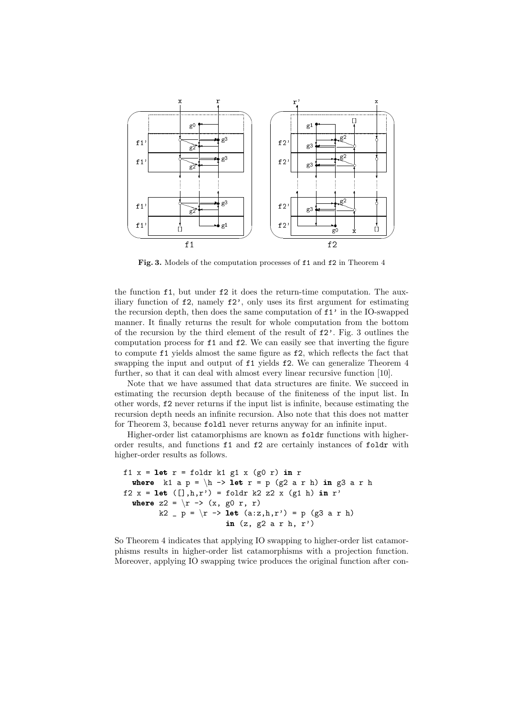

Fig. 3. Models of the computation processes of f1 and f2 in Theorem 4

the function f1, but under f2 it does the return-time computation. The auxiliary function of f2, namely f2', only uses its first argument for estimating the recursion depth, then does the same computation of f1' in the IO-swapped manner. It finally returns the result for whole computation from the bottom of the recursion by the third element of the result of f2'. Fig. 3 outlines the computation process for f1 and f2. We can easily see that inverting the figure to compute f1 yields almost the same figure as f2, which reflects the fact that swapping the input and output of f1 yields f2. We can generalize Theorem 4 further, so that it can deal with almost every linear recursive function [10].

Note that we have assumed that data structures are finite. We succeed in estimating the recursion depth because of the finiteness of the input list. In other words, f2 never returns if the input list is infinite, because estimating the recursion depth needs an infinite recursion. Also note that this does not matter for Theorem 3, because foldl never returns anyway for an infinite input.

Higher-order list catamorphisms are known as foldr functions with higherorder results, and functions f1 and f2 are certainly instances of foldr with higher-order results as follows.

```
f1 x = let r = foldr k1 g1 x (g0 r) in rwhere k1 a p = \h -> let r = p (g2 a r h) in g3 a r h
f2 x = \text{let } ([], h, r') = \text{foldr } k2 z2 x (g1 h) in r'
  where z2 = \rightharpoonup x \rightarrow (x, g0 r, r)k2 - p = \r \to \text{let } (a:z,h,r') = p (g3 a r h)in (z, g2 a r h, r')
```
So Theorem 4 indicates that applying IO swapping to higher-order list catamorphisms results in higher-order list catamorphisms with a projection function. Moreover, applying IO swapping twice produces the original function after con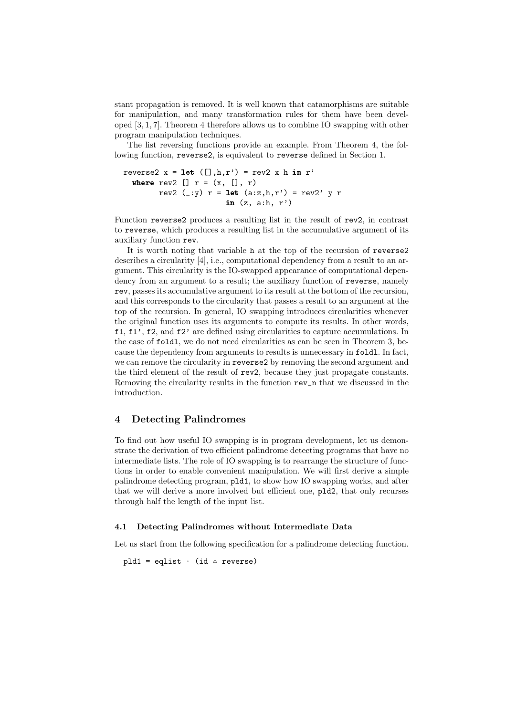stant propagation is removed. It is well known that catamorphisms are suitable for manipulation, and many transformation rules for them have been developed [3, 1, 7]. Theorem 4 therefore allows us to combine IO swapping with other program manipulation techniques.

The list reversing functions provide an example. From Theorem 4, the following function, reverse2, is equivalent to reverse defined in Section 1.

```
reverse2 x = \text{let } ([], h, r') = \text{rev2 } x \text{ h in } r'where rev2 [] r = (x, [], r)rev2 (\underline{\ }:\underline{\mathsf{y}}) r = let (a:z,h,r') = rev2' y r
                                 in (z, a:h, r')
```
Function reverse2 produces a resulting list in the result of rev2, in contrast to reverse, which produces a resulting list in the accumulative argument of its auxiliary function rev.

It is worth noting that variable h at the top of the recursion of reverse2 describes a circularity [4], i.e., computational dependency from a result to an argument. This circularity is the IO-swapped appearance of computational dependency from an argument to a result; the auxiliary function of reverse, namely rev, passes its accumulative argument to its result at the bottom of the recursion, and this corresponds to the circularity that passes a result to an argument at the top of the recursion. In general, IO swapping introduces circularities whenever the original function uses its arguments to compute its results. In other words, f1, f1', f2, and f2' are defined using circularities to capture accumulations. In the case of foldl, we do not need circularities as can be seen in Theorem 3, because the dependency from arguments to results is unnecessary in foldl. In fact, we can remove the circularity in reverse2 by removing the second argument and the third element of the result of rev2, because they just propagate constants. Removing the circularity results in the function rev\_n that we discussed in the introduction.

# 4 Detecting Palindromes

To find out how useful IO swapping is in program development, let us demonstrate the derivation of two efficient palindrome detecting programs that have no intermediate lists. The role of IO swapping is to rearrange the structure of functions in order to enable convenient manipulation. We will first derive a simple palindrome detecting program, pld1, to show how IO swapping works, and after that we will derive a more involved but efficient one, pld2, that only recurses through half the length of the input list.

#### 4.1 Detecting Palindromes without Intermediate Data

Let us start from the following specification for a palindrome detecting function.

pld1 = eqlist  $\cdot$  (id  $\triangle$  reverse)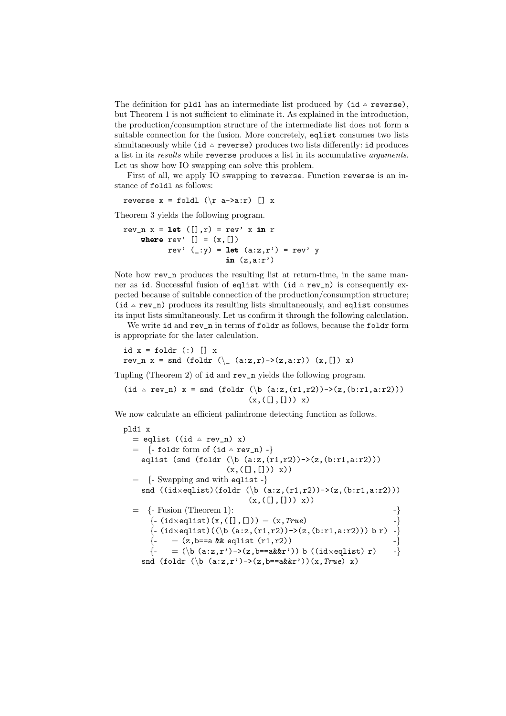The definition for pld1 has an intermediate list produced by  $(id \triangle$  reverse), but Theorem 1 is not sufficient to eliminate it. As explained in the introduction, the production/consumption structure of the intermediate list does not form a suitable connection for the fusion. More concretely, eqlist consumes two lists simultaneously while (id  $\triangle$  reverse) produces two lists differently: id produces a list in its results while reverse produces a list in its accumulative arguments. Let us show how IO swapping can solve this problem.

First of all, we apply IO swapping to reverse. Function reverse is an instance of foldl as follows:

reverse x = foldl  $(\r a$ ->a:r) [] x

Theorem 3 yields the following program.

$$
\text{rev\_n x = let } (\text{[]}, r) = \text{rev'} x \text{ in } r
$$
\n
$$
\text{where } \text{rev'} \text{[]} = (x, [])
$$
\n
$$
\text{rev'} \text{(-:y)} = \text{let } (a:z, r') = \text{rev'} y
$$
\n
$$
\text{in } (z, a: r')
$$

Note how rev\_n produces the resulting list at return-time, in the same manner as id. Successful fusion of eqlist with  $(id \triangle rev_n)$  is consequently expected because of suitable connection of the production/consumption structure;  $(id \triangle rev_n)$  produces its resulting lists simultaneously, and eqlist consumes its input lists simultaneously. Let us confirm it through the following calculation.

We write id and rev\_n in terms of foldr as follows, because the foldr form is appropriate for the later calculation.

$$
id x = foldr (:) [] x
$$
  
rev\_n x = snd (foldr (`_ (a:z,r) -> (z,a:r)`) (x, []) x)

Tupling (Theorem 2) of id and rev\_n yields the following program.

(id  $\varphi$  rev\_n) x = snd (foldr (\b (a:z,(r1,r2))->(z,(b:r1,a:r2)))  $(x, ([], [])) x)$ 

We now calculate an efficient palindrome detecting function as follows.

pld1 x  $=$  eqlist ((id  $\triangle$  rev\_n) x)  $=$  {-foldr form of (id  $\triangle$  rev\_n) -} eqlist (snd (foldr (\b (a:z,(r1,r2))->(z,(b:r1,a:r2)))  $(x, ([], [])) x)$ = {- Swapping snd with eqlist -} snd  $((id \times equist)(foldr)(b (a:z,(r1,r2)))-)(z,(b:r1,a:r2)))$  $(x, ([], [])) x))$  $\{-$  Fusion (Theorem 1):  $\{-$  (id $\times$ eqlist)(x,([],[])) = (x, True) {- (id×eqlist)((\b (a:z,(r1,r2))−>(z,(b:r1,a:r2))) b r) -}  $\{-$  =  $(z, b == a \& eqlist (r1, r2))$  $\{-$  = (\b  $(a:z,r')$ ->(z,b==a&&r')) b ((id×eqlist) r) snd (foldr  $(\b{a:z,r}')$  ->(z,b==a&&r'))(x,*True*) x)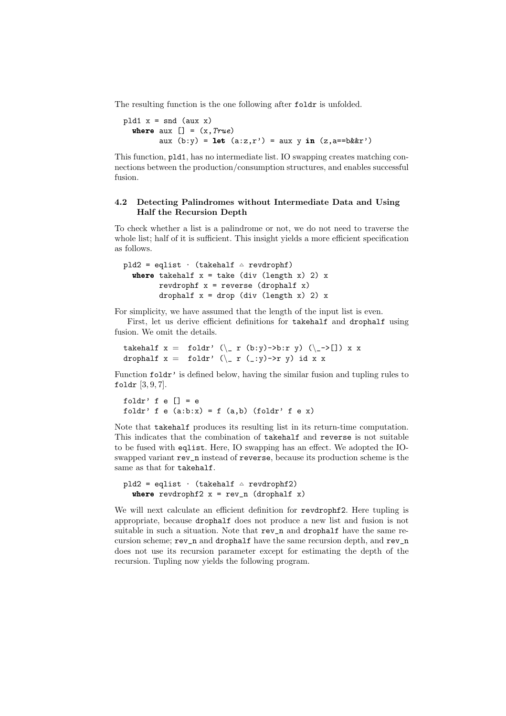The resulting function is the one following after folder is unfolded.

```
pld1 x = snd (aux x)
  where aux [] = (x, True)aux (b:y) = \text{let } (a:z,r') = aux y \text{ in } (z,a == b\&r')
```
This function, pld1, has no intermediate list. IO swapping creates matching connections between the production/consumption structures, and enables successful fusion.

### 4.2 Detecting Palindromes without Intermediate Data and Using Half the Recursion Depth

To check whether a list is a palindrome or not, we do not need to traverse the whole list; half of it is sufficient. This insight yields a more efficient specification as follows.

```
pld2 = eqlist \cdot (takehalf \triangle revdrophf)
  where takehalf x = take (div (length x) 2) xrevdrophf x = reverse (drophalf x)drophalf x = drop (div (length x) 2) x
```
For simplicity, we have assumed that the length of the input list is even.

First, let us derive efficient definitions for takehalf and drophalf using fusion. We omit the details.

```
takehalf x = foldr' (\_ r (b:y)->b:r y) (\_->[]) x x
drophalf x = foldr' (\_ r (_:y)->r y) id x x
```
Function foldr' is defined below, having the similar fusion and tupling rules to foldr  $[3, 9, 7]$ .

```
foldr' f e [] = efoldr' f e (a:b:x) = f(a,b) (foldr' f e x)
```
Note that takehalf produces its resulting list in its return-time computation. This indicates that the combination of takehalf and reverse is not suitable to be fused with eqlist. Here, IO swapping has an effect. We adopted the IOswapped variant rev\_n instead of reverse, because its production scheme is the same as that for takehalf.

```
pld2 = eqlist \cdot (takehalf \triangle revdrophf2)
  where revdrophf2 x = rev_n (drophalf x)
```
We will next calculate an efficient definition for revdrophf2. Here tupling is appropriate, because drophalf does not produce a new list and fusion is not suitable in such a situation. Note that rev\_n and drophalf have the same recursion scheme; rev\_n and drophalf have the same recursion depth, and rev\_n does not use its recursion parameter except for estimating the depth of the recursion. Tupling now yields the following program.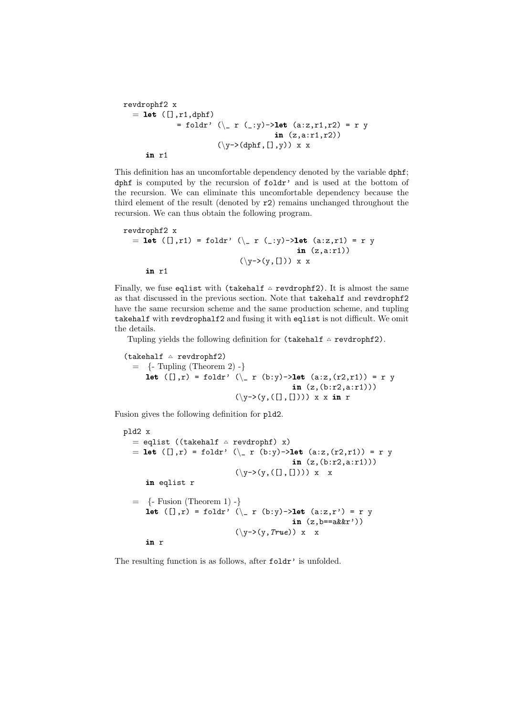revdrophf2 x = let ([],r1,dphf) = foldr' (\\_ r (\_:y)−>let (a:z,r1,r2) = r y in (z,a:r1,r2)) (\y−>(dphf,[],y)) x x in r1

This definition has an uncomfortable dependency denoted by the variable dphf; dphf is computed by the recursion of foldr' and is used at the bottom of the recursion. We can eliminate this uncomfortable dependency because the third element of the result (denoted by r2) remains unchanged throughout the recursion. We can thus obtain the following program.

revdrophf2 x = let ([],r1) = foldr' (\\_ r (\_:y)−>let (a:z,r1) = r y in (z,a:r1)) (\y−>(y,[])) x x in r1

Finally, we fuse eqlist with (takehalf  $\triangle$  revdrophf2). It is almost the same as that discussed in the previous section. Note that takehalf and revdrophf2 have the same recursion scheme and the same production scheme, and tupling takehalf with revdrophalf2 and fusing it with eqlist is not difficult. We omit the details.

Tupling yields the following definition for (takehalf  $\triangle$  revdrophf2).

 $(takehalf \triangle revdrophf2)$  $= \{-$  Tupling (Theorem 2) let ([],r) = foldr' (\\_ r (b:y)->let (a:z,(r2,r1)) = r y in  $(z, (b:r2, a:r1)))$ (\y−>(y,([],[]))) x x in r

Fusion gives the following definition for pld2.

```
pld2 x
  = eqlist ((takehalf \triangle revdrophf) x)
  = let ([],r) = foldr' (\_ r (b:y)->let (a:z,(r2,r1)) = r yin (z, (b:r2, a:r1)))(\y−>(y,([],[]))) x x
     in eqlist r
  = \{- Fusion (Theorem 1) -\}let ([],r) = foldr' (\_ r (b:y)->let (a:z,r') = r yin (z,b == a k k r')(\y~> (y, True)) x x
     in r
```
The resulting function is as follows, after folder' is unfolded.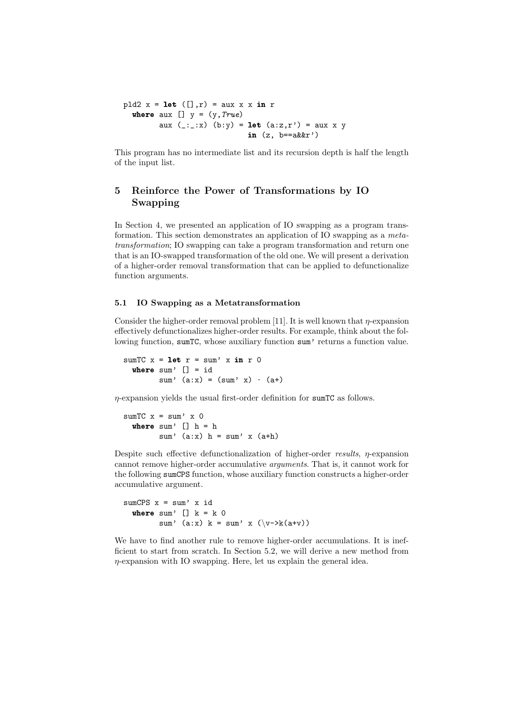```
pld2 x = \text{let } ([], r) = \text{aux } x \times \text{in } rwhere aux [] y = (y, True)aux (\underline{\ }:\underline{\ }:\underline{\ }:\underline{x}) (b:y) = let (a:z,r') = aux \times yin (z, b == a \&\r
```
This program has no intermediate list and its recursion depth is half the length of the input list.

# 5 Reinforce the Power of Transformations by IO Swapping

In Section 4, we presented an application of IO swapping as a program transformation. This section demonstrates an application of IO swapping as a metatransformation; IO swapping can take a program transformation and return one that is an IO-swapped transformation of the old one. We will present a derivation of a higher-order removal transformation that can be applied to defunctionalize function arguments.

#### 5.1 IO Swapping as a Metatransformation

Consider the higher-order removal problem [11]. It is well known that  $\eta$ -expansion effectively defunctionalizes higher-order results. For example, think about the following function, sumTC, whose auxiliary function sum' returns a function value.

```
sumTC x = \text{let } r = \text{sum'} x \text{ in } r \text{ 0}where sum' \lceil \rceil = id
            sum' (a:x) = (sum' x) \cdot (a+)
```
η-expansion yields the usual first-order definition for sumTC as follows.

```
sumTC x = sum' x 0where sum' [] h = hsum' (a:x) h = sum' x (a+h)
```
Despite such effective defunctionalization of higher-order results, η-expansion cannot remove higher-order accumulative arguments. That is, it cannot work for the following sumCPS function, whose auxiliary function constructs a higher-order accumulative argument.

```
sumCPS x = sum' x id
  where sum' [] k = k 0sum' (a:x) k = sum' x (\forall v\rightarrow k(a+v))
```
We have to find another rule to remove higher-order accumulations. It is inefficient to start from scratch. In Section 5.2, we will derive a new method from η-expansion with IO swapping. Here, let us explain the general idea.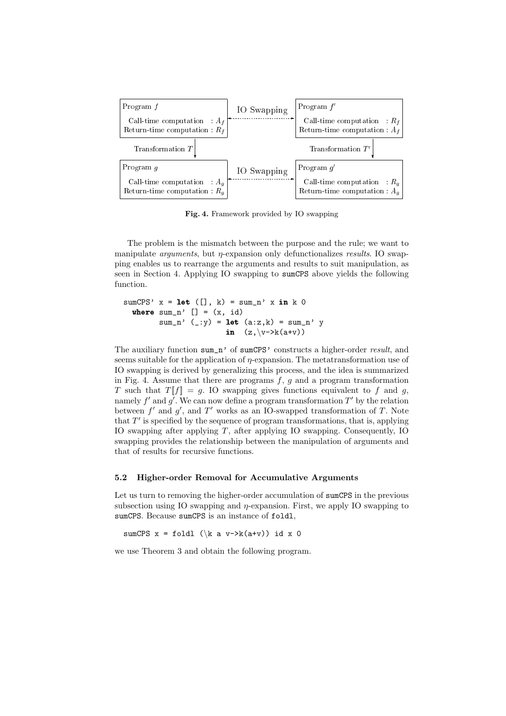

Fig. 4. Framework provided by IO swapping

The problem is the mismatch between the purpose and the rule; we want to manipulate *arguments*, but  $\eta$ -expansion only defunctionalizes *results*. IO swapping enables us to rearrange the arguments and results to suit manipulation, as seen in Section 4. Applying IO swapping to sumCPS above yields the following function.

```
sumCPS' x = \text{let } ([], k) = \text{sum\_n' } x \text{ in } k 0
  where sum_n' [] = (x, id)sum_n' (_:y) = let (a:z,k) = sum_n' y
                           in (z, \v->k(a+v))
```
The auxiliary function sum\_n' of sumCPS' constructs a higher-order result, and seems suitable for the application of η-expansion. The metatransformation use of IO swapping is derived by generalizing this process, and the idea is summarized in Fig. 4. Assume that there are programs  $f, g$  and a program transformation T such that  $T[f] = g$ . IO swapping gives functions equivalent to f and g, namely  $f'$  and  $g'$ . We can now define a program transformation  $T'$  by the relation between  $f'$  and  $g'$ , and  $T'$  works as an IO-swapped transformation of T. Note that  $T'$  is specified by the sequence of program transformations, that is, applying IO swapping after applying T, after applying IO swapping. Consequently, IO swapping provides the relationship between the manipulation of arguments and that of results for recursive functions.

# 5.2 Higher-order Removal for Accumulative Arguments

Let us turn to removing the higher-order accumulation of sumCPS in the previous subsection using IO swapping and  $\eta$ -expansion. First, we apply IO swapping to sumCPS. Because sumCPS is an instance of foldl,

sumCPS  $x = fold \ (\kappa \ a \ v->k(a+v))$  id x 0

we use Theorem 3 and obtain the following program.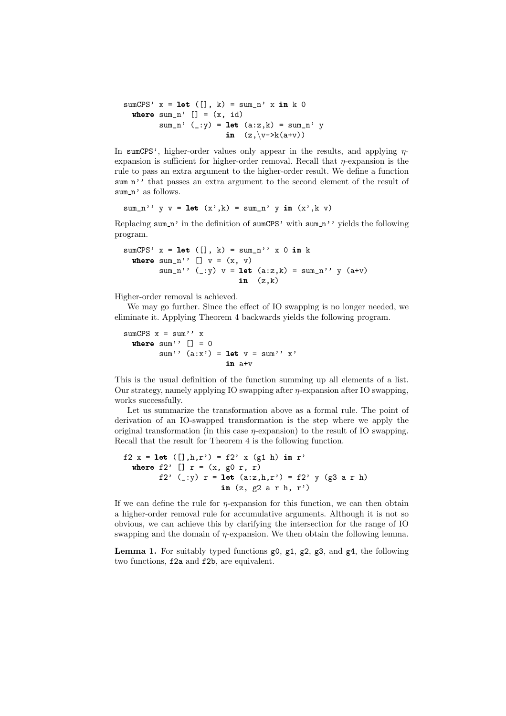```
sumCPS' x = let ([], k) = sum_n' x in k 0
  where sum_n' [] = (x, id)sum_n' (_:y) = let (a:z,k) = sum_n' y
                         in (z, \vee y \rightarrow k(a+y))
```
In sumCPS', higher-order values only appear in the results, and applying ηexpansion is sufficient for higher-order removal. Recall that  $\eta$ -expansion is the rule to pass an extra argument to the higher-order result. We define a function sum n'' that passes an extra argument to the second element of the result of sum<sub>n</sub>' as follows.

```
sum_n'' y v = let (x', k) = sum_n' y in (x', k v)
```
Replacing sum  $n'$  in the definition of sumCPS' with sum  $n'$ ' yields the following program.

```
sumCPS' x = let ([], k) = sum_n' x \neq 0 in k
  where sum_n' [] v = (x, v)sum_n'' (\underline{.}:y) v = let (a:z,k) = sum_n'' y (a+v)in (z, k)
```
Higher-order removal is achieved.

We may go further. Since the effect of IO swapping is no longer needed, we eliminate it. Applying Theorem 4 backwards yields the following program.

```
sumCPS x = sum'' x
 where sum'' [] = 0sum'' (a:x') = let v = sum'' x'in a+v
```
This is the usual definition of the function summing up all elements of a list. Our strategy, namely applying IO swapping after  $\eta$ -expansion after IO swapping, works successfully.

Let us summarize the transformation above as a formal rule. The point of derivation of an IO-swapped transformation is the step where we apply the original transformation (in this case  $\eta$ -expansion) to the result of IO swapping. Recall that the result for Theorem 4 is the following function.

```
f2 x = \text{let } ([], h, r') = f2' \times (g1 h) \text{ in } r'where f2' [] r = (x, g0 r, r)f2' (_:y) r = let (a:z,h,r') = f2' y (g3 a r h)
                         in (z, g2 a r h, r')
```
If we can define the rule for  $n$ -expansion for this function, we can then obtain a higher-order removal rule for accumulative arguments. Although it is not so obvious, we can achieve this by clarifying the intersection for the range of IO swapping and the domain of  $\eta$ -expansion. We then obtain the following lemma.

**Lemma 1.** For suitably typed functions  $g0$ ,  $g1$ ,  $g2$ ,  $g3$ , and  $g4$ , the following two functions, f2a and f2b, are equivalent.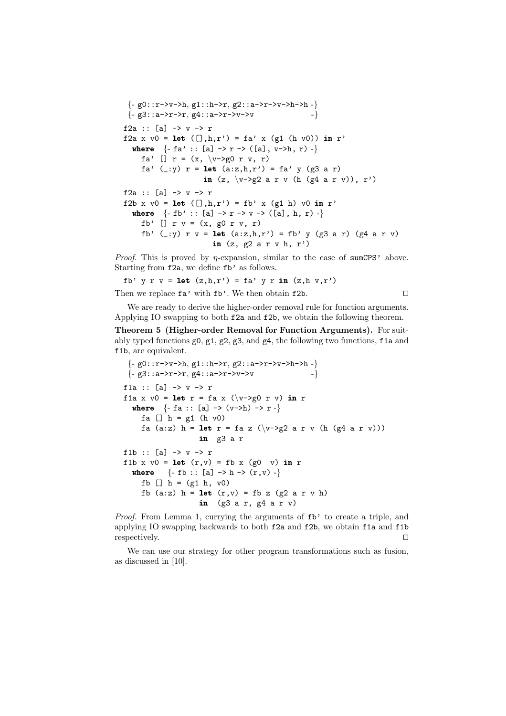```
{- g0::r−>v−>h, g1::h−>r, g2::a−>r−>v−>h−>h -}
 {- g3::a−>r−>r, g4::a−>r−>v−>v -}
f2a :: [a] −> v −> r
f2a x v0 = let ([] , h , r' ) = fa' x (g1 (h v0)) in r'where \{-fa' :: [a] \rightarrow r \rightarrow ([a], v \rightarrow h, r) -\}fa' [] r = (x, \sqrt{v} >g0 r v, r)
    fa' (\underline{y}, y) r = let (a:z, h, r') = fa' y (g3 a r)in (z, \vee->g2 a r v (h (g4 a r v)), r')
f2a :: [a] −> v −> r
f2b x v0 = \text{let } ([], h, r') = \text{fb'} x (g1 h) v0 \text{ in } r'where \{- fb' :: [a] \rightarrow r \rightarrow v \rightarrow ([a], h, r) -\}fb' [] r v = (x, g0 r v, r)fb' (\_ : y) r v = let (a:z,h,r') = fb' y (g3 a r) (g4 a r v)in (z, g2 a r v h, r')
```
*Proof.* This is proved by *n*-expansion, similar to the case of sumCPS' above. Starting from f2a, we define fb' as follows.

fb' y r  $v =$  let  $(z, h, r') = fa'$  y r in  $(z, h, v, r')$ 

Then we replace  $fa'$  with  $fb'$ . We then obtain  $f2b$ .

We are ready to derive the higher-order removal rule for function arguments. Applying IO swapping to both f2a and f2b, we obtain the following theorem.

Theorem 5 (Higher-order Removal for Function Arguments). For suitably typed functions  $g0$ ,  $g1$ ,  $g2$ ,  $g3$ , and  $g4$ , the following two functions, f1a and f1b, are equivalent.

```
{- g0::r−>v−>h, g1::h−>r, g2::a−>r−>v−>h−>h -}
 {- g3::a−>r−>r, g4::a−>r−>v−>v -}
f1a :: [a] −> v −> r
f1a x v0 = let r = fa x (\forall v->g0 r v) in r
  where \{-fa : : [a] \rightarrow (v-\lambda h) \rightarrow r -\}fa [] h = g1 (h v0)fa (a:z) h = let r = fa z (\vee->g2 a r v (h (g4 a r v)))
                  in g3 a r
f1b :: [a] −> v −> r
f1b x v0 = let (r, v) = fb x (g0 \quad v) in r
  where {- fb :: [a] -> h -> (r, v) -}
    fb [] h = (g1 h, v0)fb (a:z) h = let (r, v) = fb z (g2 a r v h)in (g3 ar, g4 ar v)
```
Proof. From Lemma 1, currying the arguments of  $fb'$  to create a triple, and applying IO swapping backwards to both f2a and f2b, we obtain f1a and f1b respectively.  $\Box$ 

We can use our strategy for other program transformations such as fusion, as discussed in [10].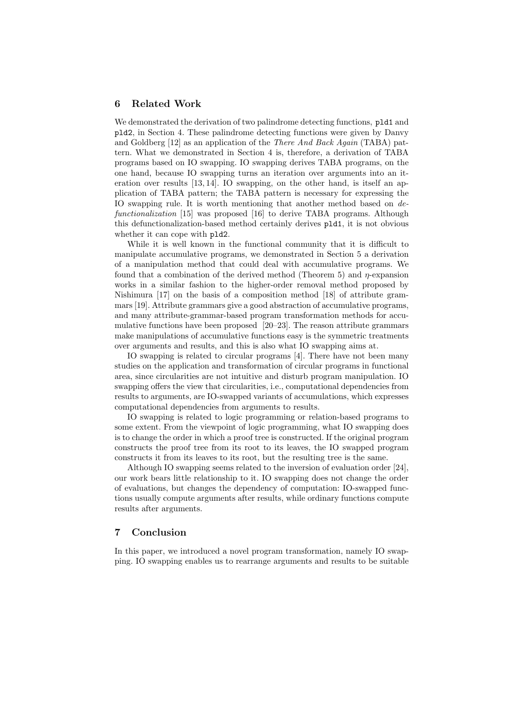# 6 Related Work

We demonstrated the derivation of two palindrome detecting functions, pld1 and pld2, in Section 4. These palindrome detecting functions were given by Danvy and Goldberg [12] as an application of the *There And Back Again* (TABA) pattern. What we demonstrated in Section 4 is, therefore, a derivation of TABA programs based on IO swapping. IO swapping derives TABA programs, on the one hand, because IO swapping turns an iteration over arguments into an iteration over results [13, 14]. IO swapping, on the other hand, is itself an application of TABA pattern; the TABA pattern is necessary for expressing the IO swapping rule. It is worth mentioning that another method based on defunctionalization [15] was proposed [16] to derive TABA programs. Although this defunctionalization-based method certainly derives pld1, it is not obvious whether it can cope with pld2.

While it is well known in the functional community that it is difficult to manipulate accumulative programs, we demonstrated in Section 5 a derivation of a manipulation method that could deal with accumulative programs. We found that a combination of the derived method (Theorem 5) and  $\eta$ -expansion works in a similar fashion to the higher-order removal method proposed by Nishimura [17] on the basis of a composition method [18] of attribute grammars [19]. Attribute grammars give a good abstraction of accumulative programs, and many attribute-grammar-based program transformation methods for accumulative functions have been proposed [20–23]. The reason attribute grammars make manipulations of accumulative functions easy is the symmetric treatments over arguments and results, and this is also what IO swapping aims at.

IO swapping is related to circular programs [4]. There have not been many studies on the application and transformation of circular programs in functional area, since circularities are not intuitive and disturb program manipulation. IO swapping offers the view that circularities, i.e., computational dependencies from results to arguments, are IO-swapped variants of accumulations, which expresses computational dependencies from arguments to results.

IO swapping is related to logic programming or relation-based programs to some extent. From the viewpoint of logic programming, what IO swapping does is to change the order in which a proof tree is constructed. If the original program constructs the proof tree from its root to its leaves, the IO swapped program constructs it from its leaves to its root, but the resulting tree is the same.

Although IO swapping seems related to the inversion of evaluation order [24], our work bears little relationship to it. IO swapping does not change the order of evaluations, but changes the dependency of computation: IO-swapped functions usually compute arguments after results, while ordinary functions compute results after arguments.

### 7 Conclusion

In this paper, we introduced a novel program transformation, namely IO swapping. IO swapping enables us to rearrange arguments and results to be suitable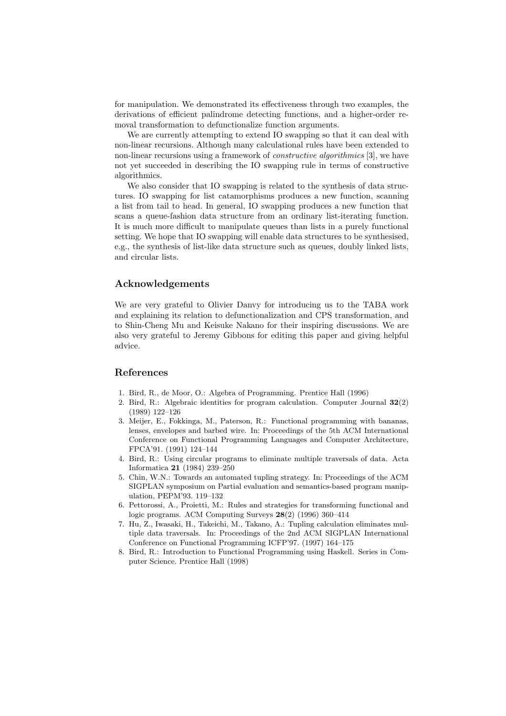for manipulation. We demonstrated its effectiveness through two examples, the derivations of efficient palindrome detecting functions, and a higher-order removal transformation to defunctionalize function arguments.

We are currently attempting to extend IO swapping so that it can deal with non-linear recursions. Although many calculational rules have been extended to non-linear recursions using a framework of *constructive algorithmics* [3], we have not yet succeeded in describing the IO swapping rule in terms of constructive algorithmics.

We also consider that IO swapping is related to the synthesis of data structures. IO swapping for list catamorphisms produces a new function, scanning a list from tail to head. In general, IO swapping produces a new function that scans a queue-fashion data structure from an ordinary list-iterating function. It is much more difficult to manipulate queues than lists in a purely functional setting. We hope that IO swapping will enable data structures to be synthesised, e.g., the synthesis of list-like data structure such as queues, doubly linked lists, and circular lists.

# Acknowledgements

We are very grateful to Olivier Danvy for introducing us to the TABA work and explaining its relation to defunctionalization and CPS transformation, and to Shin-Cheng Mu and Keisuke Nakano for their inspiring discussions. We are also very grateful to Jeremy Gibbons for editing this paper and giving helpful advice.

# References

- 1. Bird, R., de Moor, O.: Algebra of Programming. Prentice Hall (1996)
- 2. Bird, R.: Algebraic identities for program calculation. Computer Journal  $32(2)$ (1989) 122–126
- 3. Meijer, E., Fokkinga, M., Paterson, R.: Functional programming with bananas, lenses, envelopes and barbed wire. In: Proceedings of the 5th ACM International Conference on Functional Programming Languages and Computer Architecture, FPCA'91. (1991) 124–144
- 4. Bird, R.: Using circular programs to eliminate multiple traversals of data. Acta Informatica 21 (1984) 239–250
- 5. Chin, W.N.: Towards an automated tupling strategy. In: Proceedings of the ACM SIGPLAN symposium on Partial evaluation and semantics-based program manipulation, PEPM'93. 119–132
- 6. Pettorossi, A., Proietti, M.: Rules and strategies for transforming functional and logic programs. ACM Computing Surveys 28(2) (1996) 360–414
- 7. Hu, Z., Iwasaki, H., Takeichi, M., Takano, A.: Tupling calculation eliminates multiple data traversals. In: Proceedings of the 2nd ACM SIGPLAN International Conference on Functional Programming ICFP'97. (1997) 164–175
- 8. Bird, R.: Introduction to Functional Programming using Haskell. Series in Computer Science. Prentice Hall (1998)